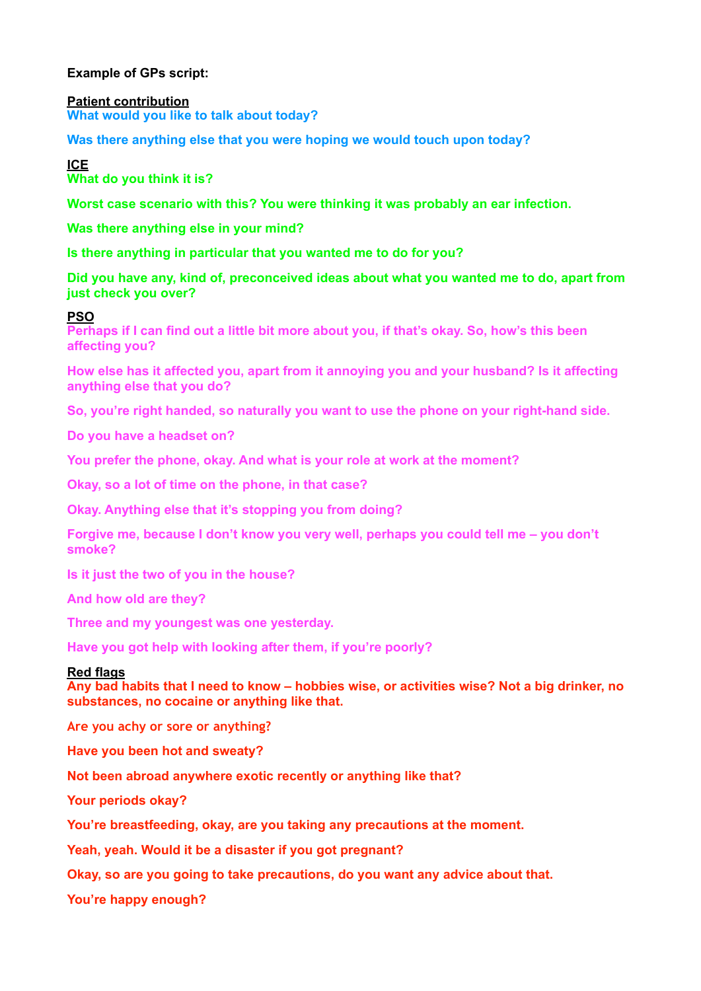## **Example of GPs script:**

#### **Patient contribution What would you like to talk about today?**

**Was there anything else that you were hoping we would touch upon today?**

**ICE What do you think it is?** 

**Worst case scenario with this? You were thinking it was probably an ear infection.** 

**Was there anything else in your mind?** 

**Is there anything in particular that you wanted me to do for you?** 

**Did you have any, kind of, preconceived ideas about what you wanted me to do, apart from just check you over?**

### **PSO**

**Perhaps if I can find out a little bit more about you, if that's okay. So, how's this been affecting you?** 

**How else has it affected you, apart from it annoying you and your husband? Is it affecting anything else that you do?** 

**So, you're right handed, so naturally you want to use the phone on your right-hand side.** 

**Do you have a headset on?** 

**You prefer the phone, okay. And what is your role at work at the moment?** 

**Okay, so a lot of time on the phone, in that case?** 

**Okay. Anything else that it's stopping you from doing?** 

**Forgive me, because I don't know you very well, perhaps you could tell me – you don't smoke?** 

**Is it just the two of you in the house?** 

**And how old are they?** 

**Three and my youngest was one yesterday.** 

**Have you got help with looking after them, if you're poorly?** 

### **Red flags**

**Any bad habits that I need to know – hobbies wise, or activities wise? Not a big drinker, no substances, no cocaine or anything like that.**

**Are you achy or sore or anything?** 

**Have you been hot and sweaty?** 

**Not been abroad anywhere exotic recently or anything like that?** 

**Your periods okay?** 

**You're breastfeeding, okay, are you taking any precautions at the moment.** 

**Yeah, yeah. Would it be a disaster if you got pregnant?** 

**Okay, so are you going to take precautions, do you want any advice about that.** 

**You're happy enough?**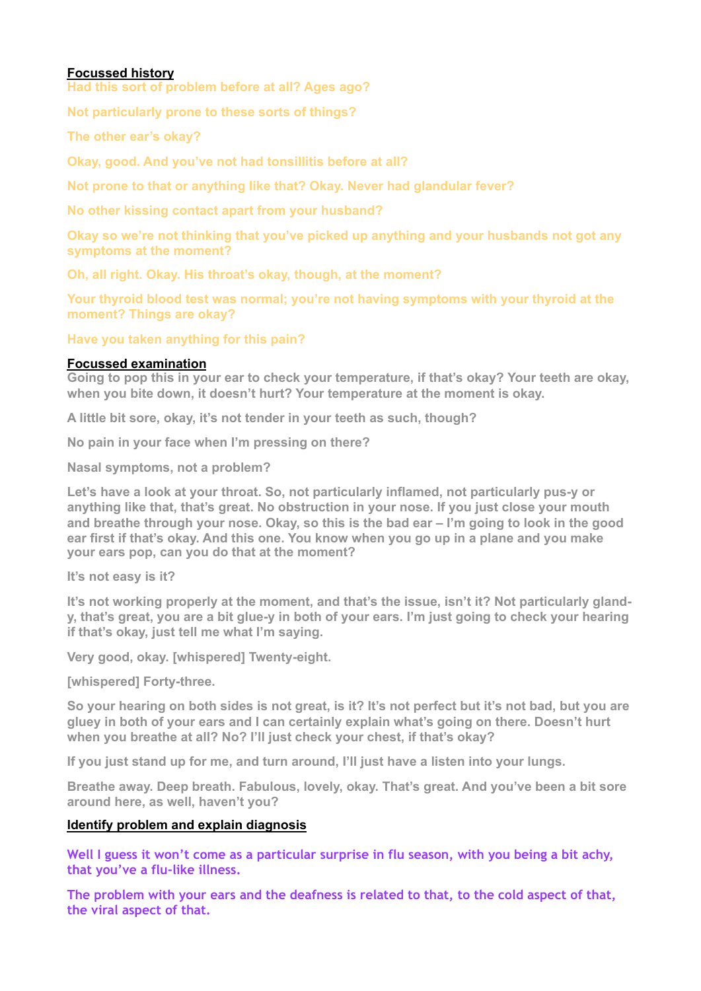## **Focussed history**

**Had this sort of problem before at all? Ages ago?** 

**Not particularly prone to these sorts of things?** 

**The other ear's okay?**

**Okay, good. And you've not had tonsillitis before at all?** 

**Not prone to that or anything like that? Okay. Never had glandular fever?** 

**No other kissing contact apart from your husband?** 

**Okay so we're not thinking that you've picked up anything and your husbands not got any symptoms at the moment?** 

**Oh, all right. Okay. His throat's okay, though, at the moment?**

**Your thyroid blood test was normal; you're not having symptoms with your thyroid at the moment? Things are okay?** 

**Have you taken anything for this pain?**

### **Focussed examination**

**Going to pop this in your ear to check your temperature, if that's okay? Your teeth are okay, when you bite down, it doesn't hurt? Your temperature at the moment is okay.** 

**A little bit sore, okay, it's not tender in your teeth as such, though?** 

**No pain in your face when I'm pressing on there?** 

**Nasal symptoms, not a problem?** 

**Let's have a look at your throat. So, not particularly inflamed, not particularly pus-y or anything like that, that's great. No obstruction in your nose. If you just close your mouth and breathe through your nose. Okay, so this is the bad ear – I'm going to look in the good ear first if that's okay. And this one. You know when you go up in a plane and you make your ears pop, can you do that at the moment?** 

**It's not easy is it?** 

**It's not working properly at the moment, and that's the issue, isn't it? Not particularly glandy, that's great, you are a bit glue-y in both of your ears. I'm just going to check your hearing if that's okay, just tell me what I'm saying.** 

**Very good, okay. [whispered] Twenty-eight.** 

**[whispered] Forty-three.** 

**So your hearing on both sides is not great, is it? It's not perfect but it's not bad, but you are gluey in both of your ears and I can certainly explain what's going on there. Doesn't hurt when you breathe at all? No? I'll just check your chest, if that's okay?** 

**If you just stand up for me, and turn around, I'll just have a listen into your lungs.** 

**Breathe away. Deep breath. Fabulous, lovely, okay. That's great. And you've been a bit sore around here, as well, haven't you?** 

## **Identify problem and explain diagnosis**

**Well I guess it won't come as a particular surprise in flu season, with you being a bit achy, that you've a flu-like illness.** 

**The problem with your ears and the deafness is related to that, to the cold aspect of that, the viral aspect of that.**